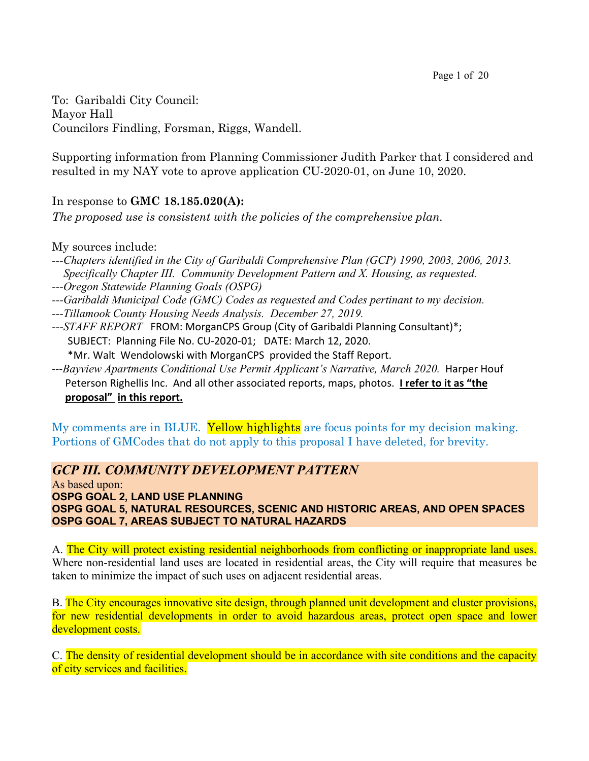To: Garibaldi City Council: Mayor Hall Councilors Findling, Forsman, Riggs, Wandell.

Supporting information from Planning Commissioner Judith Parker that I considered and resulted in my NAY vote to aprove application CU-2020-01, on June 10, 2020.

# In response to **GMC 18.185.020(A):**

*The proposed use is consistent with the policies of the comprehensive plan.*

My sources include:

*---Chapters identified in the City of Garibaldi Comprehensive Plan (GCP) 1990, 2003, 2006, 2013. Specifically Chapter III. Community Development Pattern and X. Housing, as requested.* 

*---Oregon Statewide Planning Goals (OSPG)*

- *---Garibaldi Municipal Code (GMC) Codes as requested and Codes pertinant to my decision.*
- *---Tillamook County Housing Needs Analysis. December 27, 2019.*
- *---STAFF REPORT*FROM: MorganCPS Group (City of Garibaldi Planning Consultant)\*; SUBJECT: Planning File No. CU-2020-01;DATE: March 12, 2020.

\*Mr. Walt Wendolowski with MorganCPS provided the Staff Report.

---*Bayview Apartments Conditional Use Permit Applicant's Narrative, March 2020.* Harper Houf Peterson Righellis Inc. And all other associated reports, maps, photos. **I refer to it as "the proposal" in this report.**

My comments are in BLUE. Yellow highlights are focus points for my decision making. Portions of GMCodes that do not apply to this proposal I have deleted, for brevity.

# *GCP III. COMMUNITY DEVELOPMENT PATTERN*

As based upon: **OSPG GOAL 2, LAND USE PLANNING OSPG GOAL 5, NATURAL RESOURCES, SCENIC AND HISTORIC AREAS, AND OPEN SPACES OSPG GOAL 7, AREAS SUBJECT TO NATURAL HAZARDS**

A. The City will protect existing residential neighborhoods from conflicting or inappropriate land uses. Where non-residential land uses are located in residential areas, the City will require that measures be taken to minimize the impact of such uses on adjacent residential areas.

B. The City encourages innovative site design, through planned unit development and cluster provisions, for new residential developments in order to avoid hazardous areas, protect open space and lower development costs.

C. The density of residential development should be in accordance with site conditions and the capacity of city services and facilities.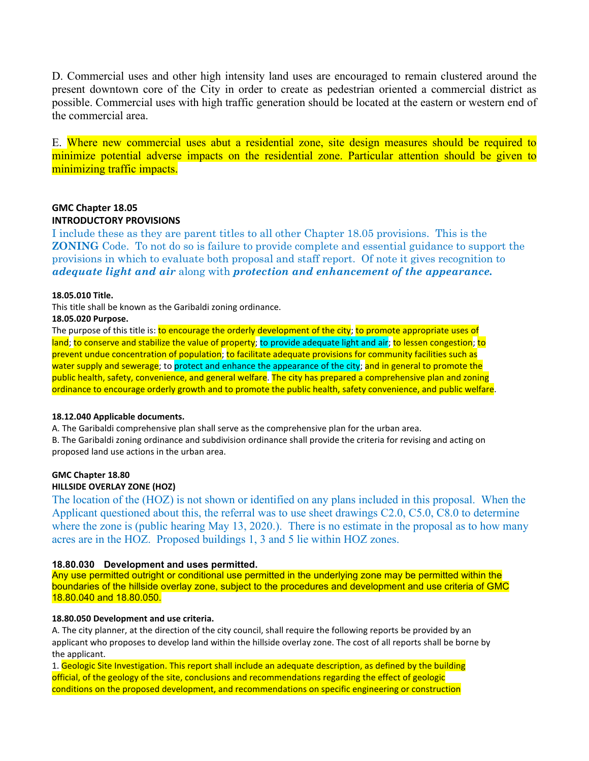D. Commercial uses and other high intensity land uses are encouraged to remain clustered around the present downtown core of the City in order to create as pedestrian oriented a commercial district as possible. Commercial uses with high traffic generation should be located at the eastern or western end of the commercial area.

E. Where new commercial uses abut a residential zone, site design measures should be required to minimize potential adverse impacts on the residential zone. Particular attention should be given to minimizing traffic impacts.

# **GMC Chapter 18.05 INTRODUCTORY PROVISIONS**

I include these as they are parent titles to all other Chapter 18.05 provisions. This is the **ZONING** Code. To not do so is failure to provide complete and essential guidance to support the provisions in which to evaluate both proposal and staff report. Of note it gives recognition to *adequate light and air* along with *protection and enhancement of the appearance.*

# **18.05.010 Title.**

This title shall be known as the Garibaldi zoning ordinance.

# **18.05.020 Purpose.**

The purpose of this title is: to encourage the orderly development of the city; to promote appropriate uses of land; to conserve and stabilize the value of property; to provide adequate light and air; to lessen congestion; to prevent undue concentration of population; to facilitate adequate provisions for community facilities such as water supply and sewerage; to protect and enhance the appearance of the city; and in general to promote the public health, safety, convenience, and general welfare. The city has prepared a comprehensive plan and zoning ordinance to encourage orderly growth and to promote the public health, safety convenience, and public welfare.

# **18.12.040 Applicable documents.**

A. The Garibaldi comprehensive plan shall serve as the comprehensive plan for the urban area.

B. The Garibaldi zoning ordinance and subdivision ordinance shall provide the criteria for revising and acting on proposed land use actions in the urban area.

#### **GMC Chapter 18.80 HILLSIDE OVERLAY ZONE (HOZ)**

The location of the (HOZ) is not shown or identified on any plans included in this proposal. When the Applicant questioned about this, the referral was to use sheet drawings C2.0, C5.0, C8.0 to determine where the zone is (public hearing May 13, 2020.). There is no estimate in the proposal as to how many acres are in the HOZ. Proposed buildings 1, 3 and 5 lie within HOZ zones.

# **18.80.030 Development and uses permitted.**

Any use permitted outright or conditional use permitted in the underlying zone may be permitted within the boundaries of the hillside overlay zone, subject to the procedures and development and use criteria of GMC 18.80.040 and 18.80.050.

# **18.80.050 Development and use criteria.**

A. The city planner, at the direction of the city council, shall require the following reports be provided by an applicant who proposes to develop land within the hillside overlay zone. The cost of all reports shall be borne by the applicant.

1. Geologic Site Investigation. This report shall include an adequate description, as defined by the building official, of the geology of the site, conclusions and recommendations regarding the effect of geologic conditions on the proposed development, and recommendations on specific engineering or construction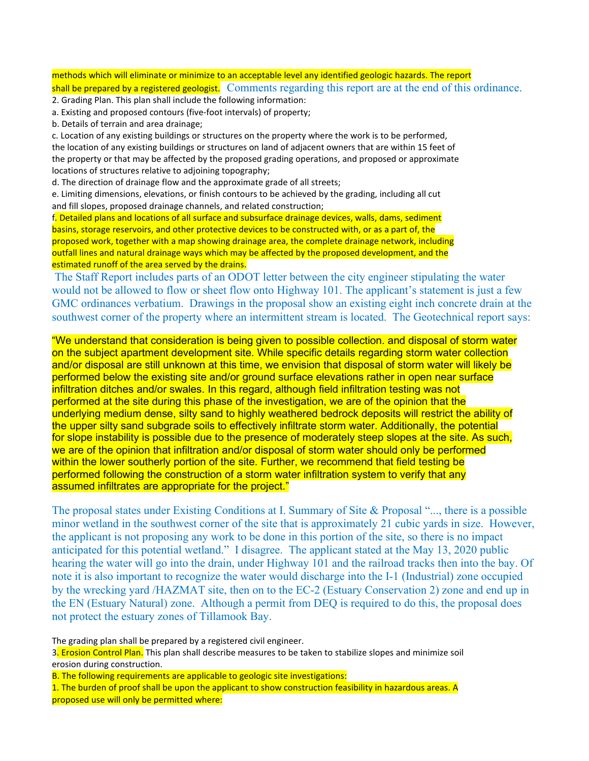# methods which will eliminate or minimize to an acceptable level any identified geologic hazards. The report shall be prepared by a registered geologist. Comments regarding this report are at the end of this ordinance.

- 2. Grading Plan. This plan shall include the following information:
- a. Existing and proposed contours (five-foot intervals) of property;
- b. Details of terrain and area drainage;

c. Location of any existing buildings or structures on the property where the work is to be performed, the location of any existing buildings or structures on land of adjacent owners that are within 15 feet of the property or that may be affected by the proposed grading operations, and proposed or approximate locations of structures relative to adjoining topography;

d. The direction of drainage flow and the approximate grade of all streets;

e. Limiting dimensions, elevations, or finish contours to be achieved by the grading, including all cut and fill slopes, proposed drainage channels, and related construction;

f. Detailed plans and locations of all surface and subsurface drainage devices, walls, dams, sediment basins, storage reservoirs, and other protective devices to be constructed with, or as a part of, the proposed work, together with a map showing drainage area, the complete drainage network, including outfall lines and natural drainage ways which may be affected by the proposed development, and the estimated runoff of the area served by the drains.

The Staff Report includes parts of an ODOT letter between the city engineer stipulating the water would not be allowed to flow or sheet flow onto Highway 101. The applicant's statement is just a few GMC ordinances verbatium. Drawings in the proposal show an existing eight inch concrete drain at the southwest corner of the property where an intermittent stream is located. The Geotechnical report says:

"We understand that consideration is being given to possible collection. and disposal of storm water on the subject apartment development site. While specific details regarding storm water collection and/or disposal are still unknown at this time, we envision that disposal of storm water will likely be performed below the existing site and/or ground surface elevations rather in open near surface infiltration ditches and/or swales. In this regard, although field infiltration testing was not performed at the site during this phase of the investigation, we are of the opinion that the underlying medium dense, silty sand to highly weathered bedrock deposits will restrict the ability of the upper silty sand subgrade soils to effectively infiltrate storm water. Additionally, the potential for slope instability is possible due to the presence of moderately steep slopes at the site. As such, we are of the opinion that infiltration and/or disposal of storm water should only be performed within the lower southerly portion of the site. Further, we recommend that field testing be performed following the construction of a storm water infiltration system to verify that any assumed infiltrates are appropriate for the project."

The proposal states under Existing Conditions at I. Summary of Site & Proposal "..., there is a possible minor wetland in the southwest corner of the site that is approximately 21 cubic yards in size. However, the applicant is not proposing any work to be done in this portion of the site, so there is no impact anticipated for this potential wetland." I disagree. The applicant stated at the May 13, 2020 public hearing the water will go into the drain, under Highway 101 and the railroad tracks then into the bay. Of note it is also important to recognize the water would discharge into the I-1 (Industrial) zone occupied by the wrecking yard /HAZMAT site, then on to the EC-2 (Estuary Conservation 2) zone and end up in the EN (Estuary Natural) zone. Although a permit from DEQ is required to do this, the proposal does not protect the estuary zones of Tillamook Bay.

The grading plan shall be prepared by a registered civil engineer.

3. Erosion Control Plan. This plan shall describe measures to be taken to stabilize slopes and minimize soil erosion during construction.

B. The following requirements are applicable to geologic site investigations:

1. The burden of proof shall be upon the applicant to show construction feasibility in hazardous areas. A proposed use will only be permitted where: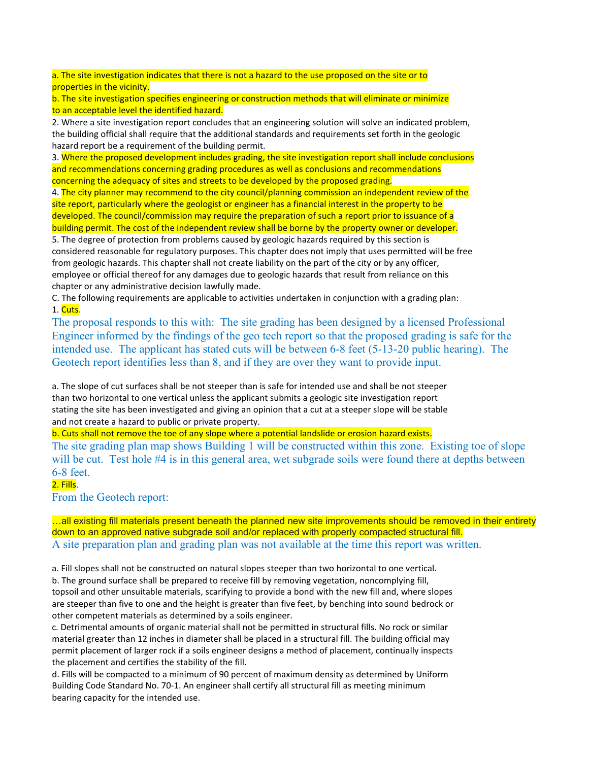a. The site investigation indicates that there is not a hazard to the use proposed on the site or to properties in the vicinity.

b. The site investigation specifies engineering or construction methods that will eliminate or minimize to an acceptable level the identified hazard.

2. Where a site investigation report concludes that an engineering solution will solve an indicated problem, the building official shall require that the additional standards and requirements set forth in the geologic hazard report be a requirement of the building permit.

3. Where the proposed development includes grading, the site investigation report shall include conclusions and recommendations concerning grading procedures as well as conclusions and recommendations concerning the adequacy of sites and streets to be developed by the proposed grading.

4. The city planner may recommend to the city council/planning commission an independent review of the site report, particularly where the geologist or engineer has a financial interest in the property to be developed. The council/commission may require the preparation of such a report prior to issuance of a building permit. The cost of the independent review shall be borne by the property owner or developer.

5. The degree of protection from problems caused by geologic hazards required by this section is considered reasonable for regulatory purposes. This chapter does not imply that uses permitted will be free from geologic hazards. This chapter shall not create liability on the part of the city or by any officer, employee or official thereof for any damages due to geologic hazards that result from reliance on this chapter or any administrative decision lawfully made.

C. The following requirements are applicable to activities undertaken in conjunction with a grading plan: 1. Cuts.

The proposal responds to this with: The site grading has been designed by a licensed Professional Engineer informed by the findings of the geo tech report so that the proposed grading is safe for the intended use. The applicant has stated cuts will be between 6-8 feet (5-13-20 public hearing). The Geotech report identifies less than 8, and if they are over they want to provide input.

a. The slope of cut surfaces shall be not steeper than is safe for intended use and shall be not steeper than two horizontal to one vertical unless the applicant submits a geologic site investigation report stating the site has been investigated and giving an opinion that a cut at a steeper slope will be stable and not create a hazard to public or private property.

b. Cuts shall not remove the toe of any slope where a potential landslide or erosion hazard exists.

The site grading plan map shows Building 1 will be constructed within this zone. Existing toe of slope will be cut. Test hole #4 is in this general area, wet subgrade soils were found there at depths between 6-8 feet.

# 2. Fills.

From the Geotech report:

…all existing fill materials present beneath the planned new site improvements should be removed in their entirety down to an approved native subgrade soil and/or replaced with properly compacted structural fill. A site preparation plan and grading plan was not available at the time this report was written.

a. Fill slopes shall not be constructed on natural slopes steeper than two horizontal to one vertical.

b. The ground surface shall be prepared to receive fill by removing vegetation, noncomplying fill, topsoil and other unsuitable materials, scarifying to provide a bond with the new fill and, where slopes are steeper than five to one and the height is greater than five feet, by benching into sound bedrock or other competent materials as determined by a soils engineer.

c. Detrimental amounts of organic material shall not be permitted in structural fills. No rock or similar material greater than 12 inches in diameter shall be placed in a structural fill. The building official may permit placement of larger rock if a soils engineer designs a method of placement, continually inspects the placement and certifies the stability of the fill.

d. Fills will be compacted to a minimum of 90 percent of maximum density as determined by Uniform Building Code Standard No. 70-1. An engineer shall certify all structural fill as meeting minimum bearing capacity for the intended use.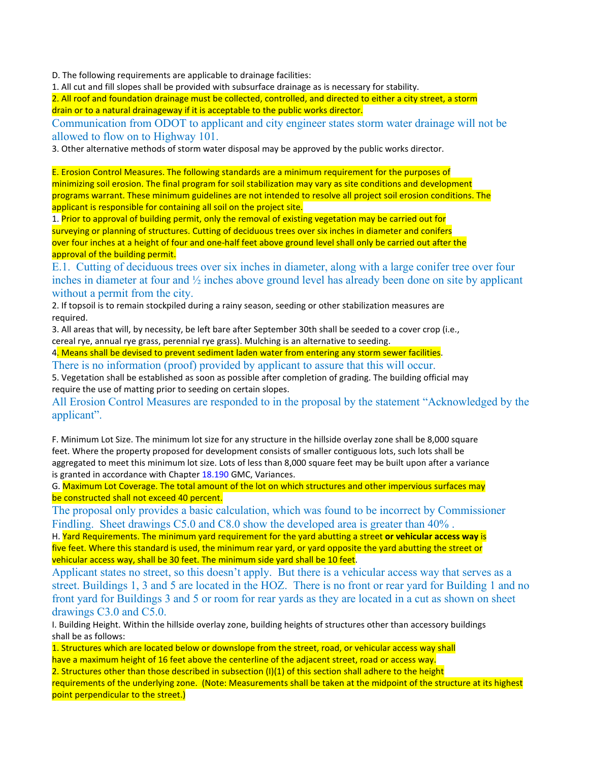D. The following requirements are applicable to drainage facilities:

1. All cut and fill slopes shall be provided with subsurface drainage as is necessary for stability.

2. All roof and foundation drainage must be collected, controlled, and directed to either a city street, a storm drain or to a natural drainageway if it is acceptable to the public works director.

Communication from ODOT to applicant and city engineer states storm water drainage will not be allowed to flow on to Highway 101.

3. Other alternative methods of storm water disposal may be approved by the public works director.

E. Erosion Control Measures. The following standards are a minimum requirement for the purposes of minimizing soil erosion. The final program for soil stabilization may vary as site conditions and development programs warrant. These minimum guidelines are not intended to resolve all project soil erosion conditions. The applicant is responsible for containing all soil on the project site.

1. Prior to approval of building permit, only the removal of existing vegetation may be carried out for surveying or planning of structures. Cutting of deciduous trees over six inches in diameter and conifers over four inches at a height of four and one-half feet above ground level shall only be carried out after the approval of the building permit.

E.1. Cutting of deciduous trees over six inches in diameter, along with a large conifer tree over four inches in diameter at four and ½ inches above ground level has already been done on site by applicant without a permit from the city.

2. If topsoil is to remain stockpiled during a rainy season, seeding or other stabilization measures are required.

3. All areas that will, by necessity, be left bare after September 30th shall be seeded to a cover crop (i.e., cereal rye, annual rye grass, perennial rye grass). Mulching is an alternative to seeding.

4. Means shall be devised to prevent sediment laden water from entering any storm sewer facilities.

There is no information (proof) provided by applicant to assure that this will occur.

5. Vegetation shall be established as soon as possible after completion of grading. The building official may require the use of matting prior to seeding on certain slopes.

All Erosion Control Measures are responded to in the proposal by the statement "Acknowledged by the applicant".

F. Minimum Lot Size. The minimum lot size for any structure in the hillside overlay zone shall be 8,000 square feet. Where the property proposed for development consists of smaller contiguous lots, such lots shall be aggregated to meet this minimum lot size. Lots of less than 8,000 square feet may be built upon after a variance is granted in accordance with Chapter 18.190 GMC, Variances.

G. Maximum Lot Coverage. The total amount of the lot on which structures and other impervious surfaces may be constructed shall not exceed 40 percent.

The proposal only provides a basic calculation, which was found to be incorrect by Commissioner Findling. Sheet drawings C5.0 and C8.0 show the developed area is greater than 40% .

H. Yard Requirements. The minimum yard requirement for the yard abutting a street **or vehicular access way** is five feet. Where this standard is used, the minimum rear yard, or yard opposite the yard abutting the street or vehicular access way, shall be 30 feet. The minimum side yard shall be 10 feet.

Applicant states no street, so this doesn't apply. But there is a vehicular access way that serves as a street. Buildings 1, 3 and 5 are located in the HOZ. There is no front or rear yard for Building 1 and no front yard for Buildings 3 and 5 or room for rear yards as they are located in a cut as shown on sheet drawings C3.0 and C5.0.

I. Building Height. Within the hillside overlay zone, building heights of structures other than accessory buildings shall be as follows:

1. Structures which are located below or downslope from the street, road, or vehicular access way shall have a maximum height of 16 feet above the centerline of the adjacent street, road or access way.

2. Structures other than those described in subsection (I)(1) of this section shall adhere to the height requirements of the underlying zone. (Note: Measurements shall be taken at the midpoint of the structure at its highest point perpendicular to the street.)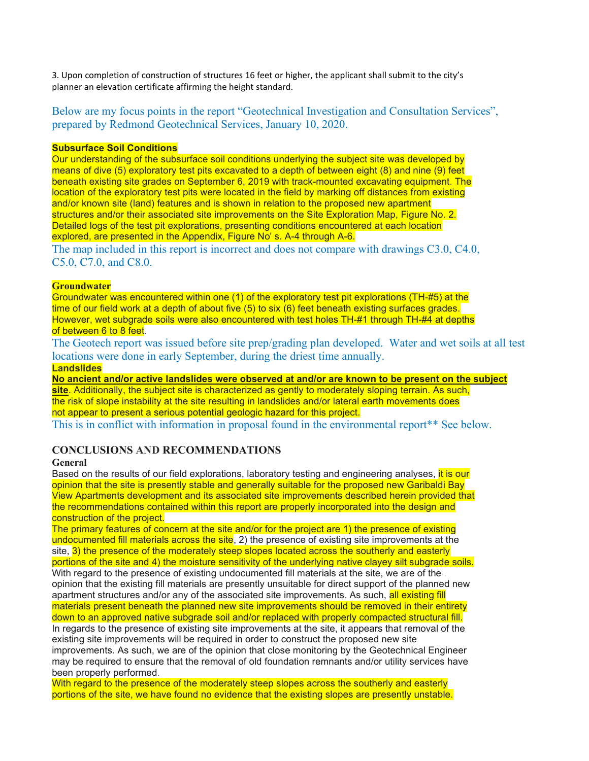3. Upon completion of construction of structures 16 feet or higher, the applicant shall submit to the city's planner an elevation certificate affirming the height standard.

Below are my focus points in the report "Geotechnical Investigation and Consultation Services", prepared by Redmond Geotechnical Services, January 10, 2020.

# **Subsurface Soil Conditions**

Our understanding of the subsurface soil conditions underlying the subject site was developed by means of dive (5) exploratory test pits excavated to a depth of between eight (8) and nine (9) feet beneath existing site grades on September 6, 2019 with track-mounted excavating equipment. The location of the exploratory test pits were located in the field by marking off distances from existing and/or known site (land) features and is shown in relation to the proposed new apartment structures and/or their associated site improvements on the Site Exploration Map, Figure No. 2. Detailed logs of the test pit explorations, presenting conditions encountered at each location explored, are presented in the Appendix, Figure No' s. A-4 through A-6.

The map included in this report is incorrect and does not compare with drawings C3.0, C4.0, C5.0, C7.0, and C8.0.

# **Groundwater**

Groundwater was encountered within one (1) of the exploratory test pit explorations (TH-#5) at the time of our field work at a depth of about five (5) to six (6) feet beneath existing surfaces grades. However, wet subgrade soils were also encountered with test holes TH-#1 through TH-#4 at depths of between 6 to 8 feet.

The Geotech report was issued before site prep/grading plan developed. Water and wet soils at all test locations were done in early September, during the driest time annually. **Landslides**

**No ancient and/or active landslides were observed at and/or are known to be present on the subject site**. Additionally, the subject site is characterized as gently to moderately sloping terrain. As such, the risk of slope instability at the site resulting in landslides and/or lateral earth movements does not appear to present a serious potential geologic hazard for this project.

This is in conflict with information in proposal found in the environmental report\*\* See below.

# **CONCLUSIONS AND RECOMMENDATIONS**

# **General**

Based on the results of our field explorations, laboratory testing and engineering analyses, it is our opinion that the site is presently stable and generally suitable for the proposed new Garibaldi Bay View Apartments development and its associated site improvements described herein provided that the recommendations contained within this report are properly incorporated into the design and construction of the project.

The primary features of concern at the site and/or for the project are 1) the presence of existing undocumented fill materials across the site, 2) the presence of existing site improvements at the site, 3) the presence of the moderately steep slopes located across the southerly and easterly portions of the site and 4) the moisture sensitivity of the underlying native clayey silt subgrade soils. With regard to the presence of existing undocumented fill materials at the site, we are of the opinion that the existing fill materials are presently unsuitable for direct support of the planned new apartment structures and/or any of the associated site improvements. As such, all existing fill materials present beneath the planned new site improvements should be removed in their entirety down to an approved native subgrade soil and/or replaced with properly compacted structural fill. In regards to the presence of existing site improvements at the site, it appears that removal of the existing site improvements will be required in order to construct the proposed new site improvements. As such, we are of the opinion that close monitoring by the Geotechnical Engineer may be required to ensure that the removal of old foundation remnants and/or utility services have been properly performed.

With regard to the presence of the moderately steep slopes across the southerly and easterly portions of the site, we have found no evidence that the existing slopes are presently unstable.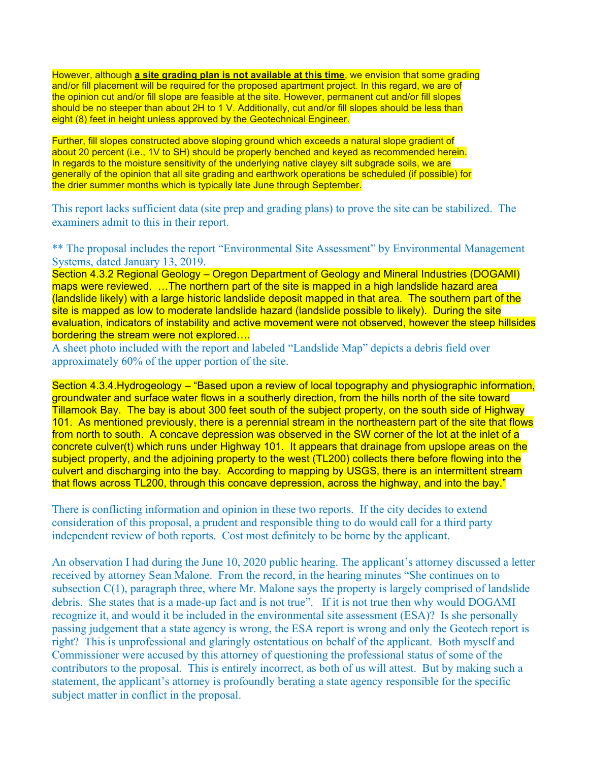However, although **a site grading plan is not available at this time**, we envision that some grading and/or fill placement will be required for the proposed apartment project. In this regard, we are of the opinion cut and/or fill slope are feasible at the site. However, permanent cut and/or fill slopes should be no steeper than about 2H to 1 V. Additionally, cut and/or fill slopes should be less than eight (8) feet in height unless approved by the Geotechnical Engineer.

Further, fill slopes constructed above sloping ground which exceeds a natural slope gradient of about 20 percent (i.e., 1V to SH) should be properly benched and keyed as recommended herein. In regards to the moisture sensitivity of the underlying native clayey silt subgrade soils, we are generally of the opinion that all site grading and earthwork operations be scheduled (if possible) for the drier summer months which is typically late June through September.

This report lacks sufficient data (site prep and grading plans) to prove the site can be stabilized. The examiners admit to this in their report.

\*\* The proposal includes the report "Environmental Site Assessment" by Environmental Management Systems, dated January 13, 2019.

Section 4.3.2 Regional Geology – Oregon Department of Geology and Mineral Industries (DOGAMI) maps were reviewed. …The northern part of the site is mapped in a high landslide hazard area (landslide likely) with a large historic landslide deposit mapped in that area. The southern part of the site is mapped as low to moderate landslide hazard (landslide possible to likely). During the site evaluation, indicators of instability and active movement were not observed, however the steep hillsides bordering the stream were not explored….

A sheet photo included with the report and labeled "Landslide Map" depicts a debris field over approximately 60% of the upper portion of the site.

Section 4.3.4.Hydrogeology – "Based upon a review of local topography and physiographic information, groundwater and surface water flows in a southerly direction, from the hills north of the site toward Tillamook Bay. The bay is about 300 feet south of the subject property, on the south side of Highway 101. As mentioned previously, there is a perennial stream in the northeastern part of the site that flows from north to south. A concave depression was observed in the SW corner of the lot at the inlet of a concrete culver(t) which runs under Highway 101. It appears that drainage from upslope areas on the subject property, and the adjoining property to the west (TL200) collects there before flowing into the culvert and discharging into the bay. According to mapping by USGS, there is an intermittent stream that flows across TL200, through this concave depression, across the highway, and into the bay."

There is conflicting information and opinion in these two reports. If the city decides to extend consideration of this proposal, a prudent and responsible thing to do would call for a third party independent review of both reports. Cost most definitely to be borne by the applicant.

An observation I had during the June 10, 2020 public hearing. The applicant's attorney discussed a letter received by attorney Sean Malone. From the record, in the hearing minutes "She continues on to subsection C(1), paragraph three, where Mr. Malone says the property is largely comprised of landslide debris. She states that is a made-up fact and is not true". If it is not true then why would DOGAMI recognize it, and would it be included in the environmental site assessment (ESA)? Is she personally passing judgement that a state agency is wrong, the ESA report is wrong and only the Geotech report is right? This is unprofessional and glaringly ostentatious on behalf of the applicant. Both myself and Commissioner were accused by this attorney of questioning the professional status of some of the contributors to the proposal. This is entirely incorrect, as both of us will attest. But by making such a statement, the applicant's attorney is profoundly berating a state agency responsible for the specific subject matter in conflict in the proposal.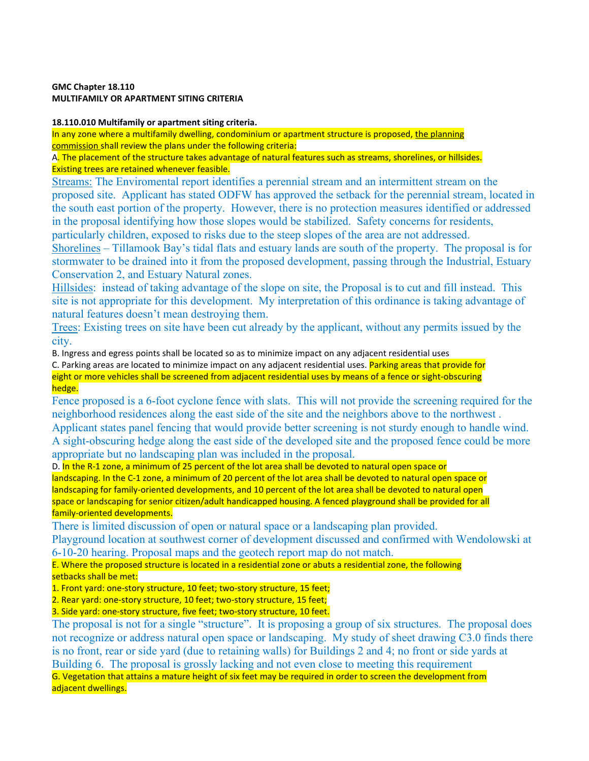## **GMC Chapter 18.110 MULTIFAMILY OR APARTMENT SITING CRITERIA**

# **18.110.010 Multifamily or apartment siting criteria.**

In any zone where a multifamily dwelling, condominium or apartment structure is proposed, the planning commission shall review the plans under the following criteria:

A. The placement of the structure takes advantage of natural features such as streams, shorelines, or hillsides. Existing trees are retained whenever feasible.

Streams: The Enviromental report identifies a perennial stream and an intermittent stream on the proposed site. Applicant has stated ODFW has approved the setback for the perennial stream, located in the south east portion of the property. However, there is no protection measures identified or addressed in the proposal identifying how those slopes would be stabilized. Safety concerns for residents, particularly children, exposed to risks due to the steep slopes of the area are not addressed.

Shorelines – Tillamook Bay's tidal flats and estuary lands are south of the property. The proposal is for stormwater to be drained into it from the proposed development, passing through the Industrial, Estuary Conservation 2, and Estuary Natural zones.

Hillsides: instead of taking advantage of the slope on site, the Proposal is to cut and fill instead. This site is not appropriate for this development. My interpretation of this ordinance is taking advantage of natural features doesn't mean destroying them.

Trees: Existing trees on site have been cut already by the applicant, without any permits issued by the city.

B. Ingress and egress points shall be located so as to minimize impact on any adjacent residential uses

C. Parking areas are located to minimize impact on any adjacent residential uses. Parking areas that provide for eight or more vehicles shall be screened from adjacent residential uses by means of a fence or sight-obscuring hedge.

Fence proposed is a 6-foot cyclone fence with slats. This will not provide the screening required for the neighborhood residences along the east side of the site and the neighbors above to the northwest .

Applicant states panel fencing that would provide better screening is not sturdy enough to handle wind. A sight-obscuring hedge along the east side of the developed site and the proposed fence could be more appropriate but no landscaping plan was included in the proposal.

D. In the R-1 zone, a minimum of 25 percent of the lot area shall be devoted to natural open space or landscaping. In the C-1 zone, a minimum of 20 percent of the lot area shall be devoted to natural open space or landscaping for family-oriented developments, and 10 percent of the lot area shall be devoted to natural open space or landscaping for senior citizen/adult handicapped housing. A fenced playground shall be provided for all family-oriented developments.

There is limited discussion of open or natural space or a landscaping plan provided.

Playground location at southwest corner of development discussed and confirmed with Wendolowski at 6-10-20 hearing. Proposal maps and the geotech report map do not match.

E. Where the proposed structure is located in a residential zone or abuts a residential zone, the following setbacks shall be met:

1. Front yard: one-story structure, 10 feet; two-story structure, 15 feet;

2. Rear yard: one-story structure, 10 feet; two-story structure, 15 feet;

3. Side yard: one-story structure, five feet; two-story structure, 10 feet.

The proposal is not for a single "structure". It is proposing a group of six structures. The proposal does not recognize or address natural open space or landscaping. My study of sheet drawing C3.0 finds there is no front, rear or side yard (due to retaining walls) for Buildings 2 and 4; no front or side yards at Building 6. The proposal is grossly lacking and not even close to meeting this requirement G. Vegetation that attains a mature height of six feet may be required in order to screen the development from

adjacent dwellings.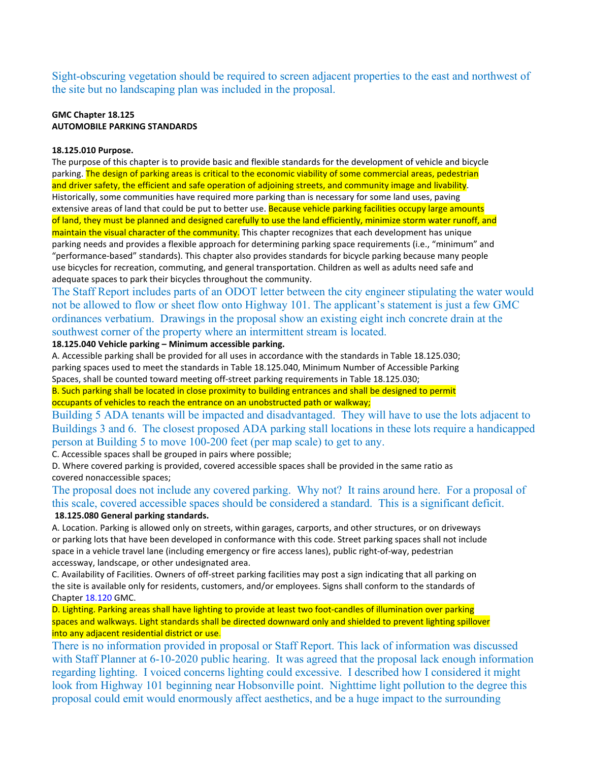Sight-obscuring vegetation should be required to screen adjacent properties to the east and northwest of the site but no landscaping plan was included in the proposal.

# **GMC Chapter 18.125 AUTOMOBILE PARKING STANDARDS**

#### **18.125.010 Purpose.**

The purpose of this chapter is to provide basic and flexible standards for the development of vehicle and bicycle parking. The design of parking areas is critical to the economic viability of some commercial areas, pedestrian and driver safety, the efficient and safe operation of adjoining streets, and community image and livability. Historically, some communities have required more parking than is necessary for some land uses, paving extensive areas of land that could be put to better use. Because vehicle parking facilities occupy large amounts of land, they must be planned and designed carefully to use the land efficiently, minimize storm water runoff, and maintain the visual character of the community. This chapter recognizes that each development has unique parking needs and provides a flexible approach for determining parking space requirements (i.e., "minimum" and "performance-based" standards). This chapter also provides standards for bicycle parking because many people use bicycles for recreation, commuting, and general transportation. Children as well as adults need safe and adequate spaces to park their bicycles throughout the community.

The Staff Report includes parts of an ODOT letter between the city engineer stipulating the water would not be allowed to flow or sheet flow onto Highway 101. The applicant's statement is just a few GMC ordinances verbatium. Drawings in the proposal show an existing eight inch concrete drain at the southwest corner of the property where an intermittent stream is located.

# **18.125.040 Vehicle parking – Minimum accessible parking.**

A. Accessible parking shall be provided for all uses in accordance with the standards in Table 18.125.030; parking spaces used to meet the standards in Table 18.125.040, Minimum Number of Accessible Parking Spaces, shall be counted toward meeting off-street parking requirements in Table 18.125.030;

B. Such parking shall be located in close proximity to building entrances and shall be designed to permit occupants of vehicles to reach the entrance on an unobstructed path or walkway;

Building 5 ADA tenants will be impacted and disadvantaged. They will have to use the lots adjacent to Buildings 3 and 6. The closest proposed ADA parking stall locations in these lots require a handicapped person at Building 5 to move 100-200 feet (per map scale) to get to any.

C. Accessible spaces shall be grouped in pairs where possible;

D. Where covered parking is provided, covered accessible spaces shall be provided in the same ratio as covered nonaccessible spaces;

The proposal does not include any covered parking. Why not? It rains around here. For a proposal of this scale, covered accessible spaces should be considered a standard. This is a significant deficit. **18.125.080 General parking standards.**

A. Location. Parking is allowed only on streets, within garages, carports, and other structures, or on driveways or parking lots that have been developed in conformance with this code. Street parking spaces shall not include space in a vehicle travel lane (including emergency or fire access lanes), public right-of-way, pedestrian accessway, landscape, or other undesignated area.

C. Availability of Facilities. Owners of off-street parking facilities may post a sign indicating that all parking on the site is available only for residents, customers, and/or employees. Signs shall conform to the standards of Chapter 18.120 GMC.

D. Lighting. Parking areas shall have lighting to provide at least two foot-candles of illumination over parking spaces and walkways. Light standards shall be directed downward only and shielded to prevent lighting spillover into any adjacent residential district or use.

There is no information provided in proposal or Staff Report. This lack of information was discussed with Staff Planner at 6-10-2020 public hearing. It was agreed that the proposal lack enough information regarding lighting. I voiced concerns lighting could excessive. I described how I considered it might look from Highway 101 beginning near Hobsonville point. Nighttime light pollution to the degree this proposal could emit would enormously affect aesthetics, and be a huge impact to the surrounding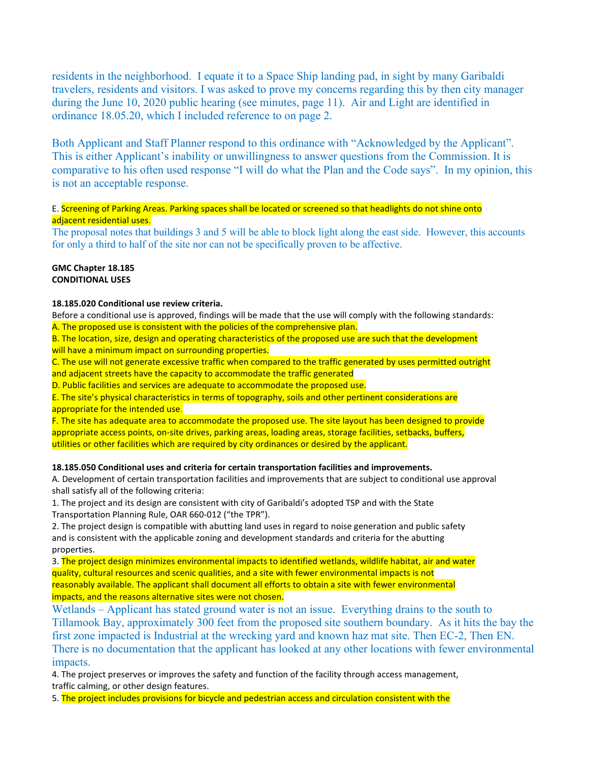residents in the neighborhood. I equate it to a Space Ship landing pad, in sight by many Garibaldi travelers, residents and visitors. I was asked to prove my concerns regarding this by then city manager during the June 10, 2020 public hearing (see minutes, page 11). Air and Light are identified in ordinance 18.05.20, which I included reference to on page 2.

Both Applicant and Staff Planner respond to this ordinance with "Acknowledged by the Applicant". This is either Applicant's inability or unwillingness to answer questions from the Commission. It is comparative to his often used response "I will do what the Plan and the Code says". In my opinion, this is not an acceptable response.

# E. Screening of Parking Areas. Parking spaces shall be located or screened so that headlights do not shine onto adjacent residential uses.

The proposal notes that buildings 3 and 5 will be able to block light along the east side. However, this accounts for only a third to half of the site nor can not be specifically proven to be affective.

#### **GMC Chapter 18.185 CONDITIONAL USES**

#### **18.185.020 Conditional use review criteria.**

Before a conditional use is approved, findings will be made that the use will comply with the following standards: A. The proposed use is consistent with the policies of the comprehensive plan.

B. The location, size, design and operating characteristics of the proposed use are such that the development will have a minimum impact on surrounding properties.

C. The use will not generate excessive traffic when compared to the traffic generated by uses permitted outright and adjacent streets have the capacity to accommodate the traffic generated

D. Public facilities and services are adequate to accommodate the proposed use.

E. The site's physical characteristics in terms of topography, soils and other pertinent considerations are appropriate for the intended use.

F. The site has adequate area to accommodate the proposed use. The site layout has been designed to provide appropriate access points, on-site drives, parking areas, loading areas, storage facilities, setbacks, buffers, utilities or other facilities which are required by city ordinances or desired by the applicant.

# **18.185.050 Conditional uses and criteria for certain transportation facilities and improvements.**

A. Development of certain transportation facilities and improvements that are subject to conditional use approval shall satisfy all of the following criteria:

1. The project and its design are consistent with city of Garibaldi's adopted TSP and with the State Transportation Planning Rule, OAR 660-012 ("the TPR").

2. The project design is compatible with abutting land uses in regard to noise generation and public safety and is consistent with the applicable zoning and development standards and criteria for the abutting properties.

3. The project design minimizes environmental impacts to identified wetlands, wildlife habitat, air and water quality, cultural resources and scenic qualities, and a site with fewer environmental impacts is not reasonably available. The applicant shall document all efforts to obtain a site with fewer environmental impacts, and the reasons alternative sites were not chosen.

Wetlands – Applicant has stated ground water is not an issue. Everything drains to the south to Tillamook Bay, approximately 300 feet from the proposed site southern boundary. As it hits the bay the first zone impacted is Industrial at the wrecking yard and known haz mat site. Then EC-2, Then EN. There is no documentation that the applicant has looked at any other locations with fewer environmental impacts.

4. The project preserves or improves the safety and function of the facility through access management, traffic calming, or other design features.

5. The project includes provisions for bicycle and pedestrian access and circulation consistent with the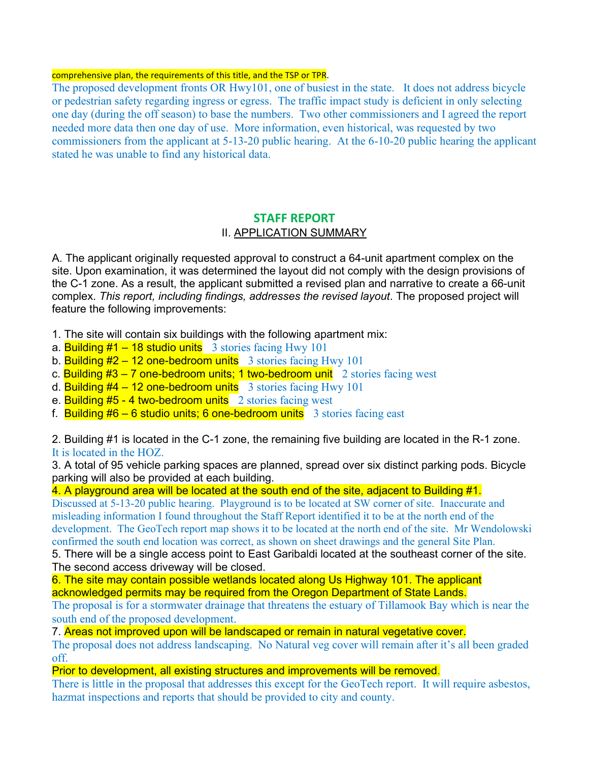# comprehensive plan, the requirements of this title, and the TSP or TPR.

The proposed development fronts OR Hwy101, one of busiest in the state. It does not address bicycle or pedestrian safety regarding ingress or egress. The traffic impact study is deficient in only selecting one day (during the off season) to base the numbers. Two other commissioners and I agreed the report needed more data then one day of use. More information, even historical, was requested by two commissioners from the applicant at 5-13-20 public hearing. At the 6-10-20 public hearing the applicant stated he was unable to find any historical data.

# **STAFF REPORT II. APPLICATION SUMMARY**

A. The applicant originally requested approval to construct a 64-unit apartment complex on the site. Upon examination, it was determined the layout did not comply with the design provisions of the C-1 zone. As a result, the applicant submitted a revised plan and narrative to create a 66-unit complex. *This report, including findings, addresses the revised layout*. The proposed project will feature the following improvements:

- 1. The site will contain six buildings with the following apartment mix:
- a. Building  $#1 18$  studio units 3 stories facing Hwy 101
- b. Building  $#2 12$  one-bedroom units 3 stories facing Hwy 101
- c. Building  $#3 7$  one-bedroom units; 1 two-bedroom unit 2 stories facing west
- d. Building  $#4 12$  one-bedroom units 3 stories facing Hwy 101
- e. Building #5 4 two-bedroom units 2 stories facing west
- f. Building  $#6 6$  studio units; 6 one-bedroom units 3 stories facing east

2. Building #1 is located in the C-1 zone, the remaining five building are located in the R-1 zone. It is located in the HOZ.

3. A total of 95 vehicle parking spaces are planned, spread over six distinct parking pods. Bicycle parking will also be provided at each building.

4. A playground area will be located at the south end of the site, adjacent to Building #1.

Discussed at 5-13-20 public hearing. Playground is to be located at SW corner of site. Inaccurate and misleading information I found throughout the Staff Report identified it to be at the north end of the development. The GeoTech report map shows it to be located at the north end of the site. Mr Wendolowski confirmed the south end location was correct, as shown on sheet drawings and the general Site Plan.

5. There will be a single access point to East Garibaldi located at the southeast corner of the site. The second access driveway will be closed.

6. The site may contain possible wetlands located along Us Highway 101. The applicant acknowledged permits may be required from the Oregon Department of State Lands.

The proposal is for a stormwater drainage that threatens the estuary of Tillamook Bay which is near the south end of the proposed development.

7. Areas not improved upon will be landscaped or remain in natural vegetative cover.

The proposal does not address landscaping. No Natural veg cover will remain after it's all been graded off.

Prior to development, all existing structures and improvements will be removed.

There is little in the proposal that addresses this except for the GeoTech report. It will require asbestos, hazmat inspections and reports that should be provided to city and county.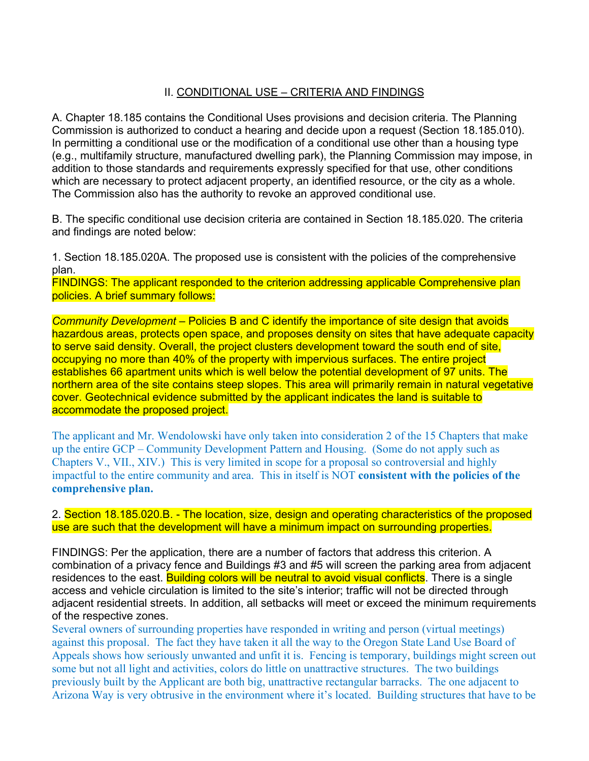# II. CONDITIONAL USE – CRITERIA AND FINDINGS

A. Chapter 18.185 contains the Conditional Uses provisions and decision criteria. The Planning Commission is authorized to conduct a hearing and decide upon a request (Section 18.185.010). In permitting a conditional use or the modification of a conditional use other than a housing type (e.g., multifamily structure, manufactured dwelling park), the Planning Commission may impose, in addition to those standards and requirements expressly specified for that use, other conditions which are necessary to protect adjacent property, an identified resource, or the city as a whole. The Commission also has the authority to revoke an approved conditional use.

B. The specific conditional use decision criteria are contained in Section 18.185.020. The criteria and findings are noted below:

1. Section 18.185.020A. The proposed use is consistent with the policies of the comprehensive plan.

FINDINGS: The applicant responded to the criterion addressing applicable Comprehensive plan policies. A brief summary follows:

*Community Development* – Policies B and C identify the importance of site design that avoids hazardous areas, protects open space, and proposes density on sites that have adequate capacity to serve said density. Overall, the project clusters development toward the south end of site, occupying no more than 40% of the property with impervious surfaces. The entire project establishes 66 apartment units which is well below the potential development of 97 units. The northern area of the site contains steep slopes. This area will primarily remain in natural vegetative cover. Geotechnical evidence submitted by the applicant indicates the land is suitable to accommodate the proposed project.

The applicant and Mr. Wendolowski have only taken into consideration 2 of the 15 Chapters that make up the entire GCP – Community Development Pattern and Housing. (Some do not apply such as Chapters V., VII., XIV.) This is very limited in scope for a proposal so controversial and highly impactful to the entire community and area. This in itself is NOT **consistent with the policies of the comprehensive plan.**

2. Section 18.185.020.B. - The location, size, design and operating characteristics of the proposed use are such that the development will have a minimum impact on surrounding properties.

FINDINGS: Per the application, there are a number of factors that address this criterion. A combination of a privacy fence and Buildings #3 and #5 will screen the parking area from adjacent residences to the east. Building colors will be neutral to avoid visual conflicts. There is a single access and vehicle circulation is limited to the site's interior; traffic will not be directed through adjacent residential streets. In addition, all setbacks will meet or exceed the minimum requirements of the respective zones.

Several owners of surrounding properties have responded in writing and person (virtual meetings) against this proposal. The fact they have taken it all the way to the Oregon State Land Use Board of Appeals shows how seriously unwanted and unfit it is. Fencing is temporary, buildings might screen out some but not all light and activities, colors do little on unattractive structures. The two buildings previously built by the Applicant are both big, unattractive rectangular barracks. The one adjacent to Arizona Way is very obtrusive in the environment where it's located. Building structures that have to be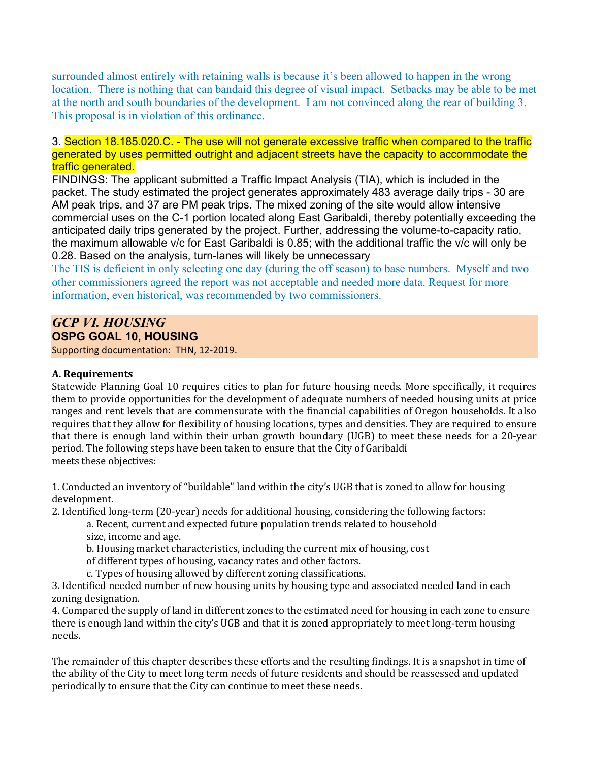surrounded almost entirely with retaining walls is because it's been allowed to happen in the wrong location. There is nothing that can bandaid this degree of visual impact. Setbacks may be able to be met at the north and south boundaries of the development. I am not convinced along the rear of building 3. This proposal is in violation of this ordinance.

3. Section 18.185.020.C. - The use will not generate excessive traffic when compared to the traffic generated by uses permitted outright and adjacent streets have the capacity to accommodate the traffic generated.

FINDINGS: The applicant submitted a Traffic Impact Analysis (TIA), which is included in the packet. The study estimated the project generates approximately 483 average daily trips - 30 are AM peak trips, and 37 are PM peak trips. The mixed zoning of the site would allow intensive commercial uses on the C-1 portion located along East Garibaldi, thereby potentially exceeding the anticipated daily trips generated by the project. Further, addressing the volume-to-capacity ratio, the maximum allowable v/c for East Garibaldi is 0.85; with the additional traffic the v/c will only be 0.28. Based on the analysis, turn-lanes will likely be unnecessary

The TIS is deficient in only selecting one day (during the off season) to base numbers. Myself and two other commissioners agreed the report was not acceptable and needed more data. Request for more information, even historical, was recommended by two commissioners.

# *GCP VI. HOUSING* **OSPG GOAL 10, HOUSING**

Supporting documentation: THN, 12-2019.

# **A. Requirements**

Statewide Planning Goal 10 requires cities to plan for future housing needs. More specifically, it requires them to provide opportunities for the development of adequate numbers of needed housing units at price ranges and rent levels that are commensurate with the financial capabilities of Oregon households. It also requires that they allow for flexibility of housing locations, types and densities. They are required to ensure that there is enough land within their urban growth boundary (UGB) to meet these needs for a 20-year period. The following steps have been taken to ensure that the City of Garibaldi meets these objectives:

1. Conducted an inventory of "buildable" land within the city's UGB that is zoned to allow for housing development.

2. Identified long-term (20-year) needs for additional housing, considering the following factors:

a. Recent, current and expected future population trends related to household size, income and age.

b. Housing market characteristics, including the current mix of housing, cost

of different types of housing, vacancy rates and other factors.

c. Types of housing allowed by different zoning classifications.

3. Identified needed number of new housing units by housing type and associated needed land in each zoning designation.

4. Compared the supply of land in different zones to the estimated need for housing in each zone to ensure there is enough land within the city's UGB and that it is zoned appropriately to meet long-term housing needs.

The remainder of this chapter describes these efforts and the resulting findings. It is a snapshot in time of the ability of the City to meet long term needs of future residents and should be reassessed and updated periodically to ensure that the City can continue to meet these needs.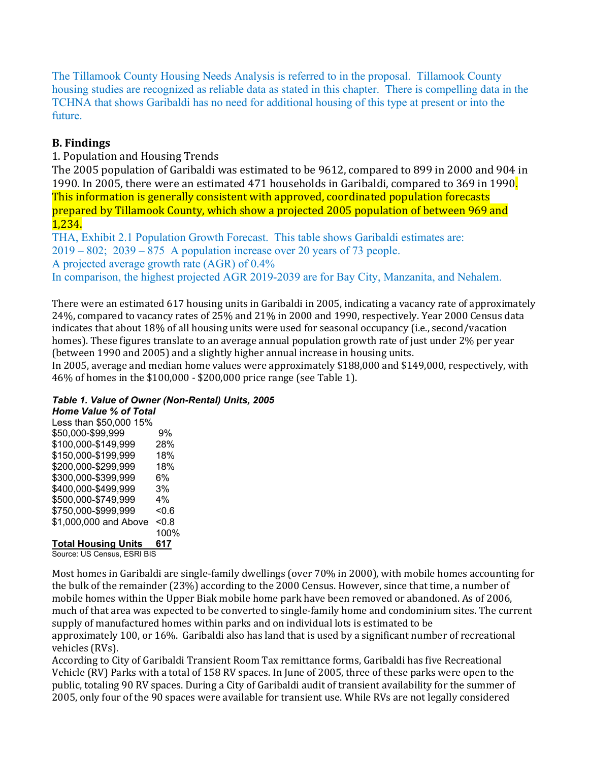The Tillamook County Housing Needs Analysis is referred to in the proposal. Tillamook County housing studies are recognized as reliable data as stated in this chapter. There is compelling data in the TCHNA that shows Garibaldi has no need for additional housing of this type at present or into the future.

# **B. Findings**

1. Population and Housing Trends

The 2005 population of Garibaldi was estimated to be 9612, compared to 899 in 2000 and 904 in 1990. In 2005, there were an estimated 471 households in Garibaldi, compared to 369 in 1990. This information is generally consistent with approved, coordinated population forecasts prepared by Tillamook County, which show a projected 2005 population of between 969 and 1,234.

THA, Exhibit 2.1 Population Growth Forecast. This table shows Garibaldi estimates are: 2019 – 802; 2039 – 875 A population increase over 20 years of 73 people. A projected average growth rate (AGR) of 0.4% In comparison, the highest projected AGR 2019-2039 are for Bay City, Manzanita, and Nehalem.

There were an estimated 617 housing units in Garibaldi in 2005, indicating a vacancy rate of approximately 24%, compared to vacancy rates of 25% and 21% in 2000 and 1990, respectively. Year 2000 Census data indicates that about 18% of all housing units were used for seasonal occupancy (i.e., second/vacation homes). These figures translate to an average annual population growth rate of just under 2% per year (between 1990 and 2005) and a slightly higher annual increase in housing units.

In 2005, average and median home values were approximately \$188,000 and \$149,000, respectively, with 46% of homes in the \$100,000 - \$200,000 price range (see Table 1).

*Table 1. Value of Owner (Non-Rental) Units, 2005*

*Home Value % of Total* Less than \$50,000 15% \$50,000-\$99,999 9% \$100,000-\$149,999 28% \$150,000-\$199,999 18% \$200,000-\$299,999 18% \$300,000-\$399,999 6% \$400,000-\$499,999 3% \$500,000-\$749,999 4% \$750,000-\$999,999 <0.6 \$1,000,000 and Above <0.8 100% **Total Housing Units 617**

Source: US Census, ESRI BIS

Most homes in Garibaldi are single-family dwellings (over 70% in 2000), with mobile homes accounting for the bulk of the remainder (23%) according to the 2000 Census. However, since that time, a number of mobile homes within the Upper Biak mobile home park have been removed or abandoned. As of 2006, much of that area was expected to be converted to single-family home and condominium sites. The current supply of manufactured homes within parks and on individual lots is estimated to be approximately 100, or 16%. Garibaldi also has land that is used by a significant number of recreational vehicles (RVs).

According to City of Garibaldi Transient Room Tax remittance forms, Garibaldi has five Recreational Vehicle (RV) Parks with a total of 158 RV spaces. In June of 2005, three of these parks were open to the public, totaling 90 RV spaces. During a City of Garibaldi audit of transient availability for the summer of 2005, only four of the 90 spaces were available for transient use. While RVs are not legally considered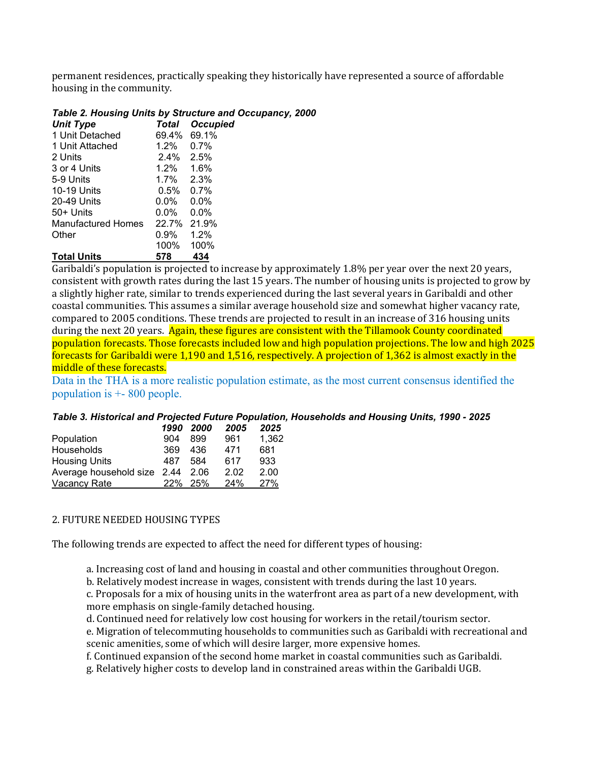permanent residences, practically speaking they historically have represented a source of affordable housing in the community.

# *Table 2. Housing Units by Structure and Occupancy, 2000*

| <b>Unit Type</b>   | Total     | <b>Occupied</b> |
|--------------------|-----------|-----------------|
| 1 Unit Detached    | 69.4%     | 69.1%           |
| 1 Unit Attached    | 1.2%      | $0.7\%$         |
| 2 Units            | 2.4%      | 2.5%            |
| 3 or 4 Units       | 1.2% 1.6% |                 |
| 5-9 Units          | 1.7%      | 2.3%            |
| 10-19 Units        | 0.5%      | 0.7%            |
| 20-49 Units        | 0.0%      | $0.0\%$         |
| 50+ Units          | 0.0%      | 0.0%            |
| Manufactured Homes | 22.7%     | 21.9%           |
| Other              | 0.9%      | 1.2%            |
|                    | 100%      | 100%            |
| <b>Total Units</b> | 578       | 434             |

Garibaldi's population is projected to increase by approximately 1.8% per year over the next 20 years, consistent with growth rates during the last 15 years. The number of housing units is projected to grow by a slightly higher rate, similar to trends experienced during the last several years in Garibaldi and other coastal communities. This assumes a similar average household size and somewhat higher vacancy rate, compared to 2005 conditions. These trends are projected to result in an increase of 316 housing units during the next 20 years. Again, these figures are consistent with the Tillamook County coordinated population forecasts. Those forecasts included low and high population projections. The low and high 2025 forecasts for Garibaldi were 1,190 and 1,516, respectively. A projection of 1,362 is almost exactly in the middle of these forecasts.

Data in the THA is a more realistic population estimate, as the most current consensus identified the population is +- 800 people.

# *Table 3. Historical and Projected Future Population, Households and Housing Units, 1990 - 2025*

|                             |     | 1990 2000 | 2005 | 2025  |
|-----------------------------|-----|-----------|------|-------|
| Population                  | 904 | 899       | 961  | 1,362 |
| Households                  | 369 | 436       | 471  | 681   |
| <b>Housing Units</b>        | 487 | 584       | 617  | 933   |
| Average household size 2.44 |     | 2.06      | 2.02 | 2.00  |
| <b>Vacancy Rate</b>         | 22% | 25%       | 24%  | 27%   |

# 2. FUTURE NEEDED HOUSING TYPES

The following trends are expected to affect the need for different types of housing:

- a. Increasing cost of land and housing in coastal and other communities throughout Oregon.
- b. Relatively modest increase in wages, consistent with trends during the last 10 years.
- c. Proposals for a mix of housing units in the waterfront area as part of a new development, with more emphasis on single-family detached housing.
- d. Continued need for relatively low cost housing for workers in the retail/tourism sector.

e. Migration of telecommuting households to communities such as Garibaldi with recreational and scenic amenities, some of which will desire larger, more expensive homes.

f. Continued expansion of the second home market in coastal communities such as Garibaldi.

g. Relatively higher costs to develop land in constrained areas within the Garibaldi UGB.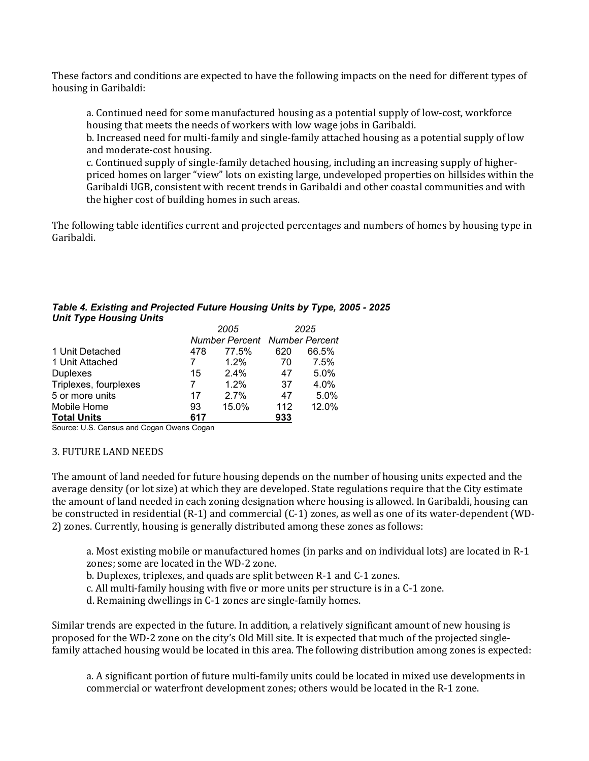These factors and conditions are expected to have the following impacts on the need for different types of housing in Garibaldi:

a. Continued need for some manufactured housing as a potential supply of low-cost, workforce housing that meets the needs of workers with low wage jobs in Garibaldi.

b. Increased need for multi-family and single-family attached housing as a potential supply of low and moderate-cost housing.

c. Continued supply of single-family detached housing, including an increasing supply of higherpriced homes on larger "view" lots on existing large, undeveloped properties on hillsides within the Garibaldi UGB, consistent with recent trends in Garibaldi and other coastal communities and with the higher cost of building homes in such areas.

The following table identifies current and projected percentages and numbers of homes by housing type in Garibaldi.

| <b>Unit Type Housing Units</b> |      |                                      |      |       |  |
|--------------------------------|------|--------------------------------------|------|-------|--|
|                                | 2005 |                                      | 2025 |       |  |
|                                |      | <b>Number Percent Number Percent</b> |      |       |  |
| 1 Unit Detached                | 478  | 77.5%                                | 620  | 66.5% |  |
| 1 Unit Attached                |      | $1.2\%$                              | 70   | 7.5%  |  |
| <b>Duplexes</b>                | 15   | $2.4\%$                              | 47   | 5.0%  |  |
| Triplexes, fourplexes          | 7    | $1.2\%$                              | 37   | 4.0%  |  |
| 5 or more units                | 17   | 2.7%                                 | 47   | 5.0%  |  |
| Mobile Home                    | 93   | 15.0%                                | 112  | 12.0% |  |
| <b>Total Units</b>             | 617  |                                      | 933  |       |  |

#### *Table 4. Existing and Projected Future Housing Units by Type, 2005 - 2025 Unit Type Housing Units*

Source: U.S. Census and Cogan Owens Cogan

# 3. FUTURE LAND NEEDS

The amount of land needed for future housing depends on the number of housing units expected and the average density (or lot size) at which they are developed. State regulations require that the City estimate the amount of land needed in each zoning designation where housing is allowed. In Garibaldi, housing can be constructed in residential (R-1) and commercial (C-1) zones, as well as one of its water-dependent (WD-2) zones. Currently, housing is generally distributed among these zones as follows:

a. Most existing mobile or manufactured homes (in parks and on individual lots) are located in R-1 zones; some are located in the WD-2 zone.

b. Duplexes, triplexes, and quads are split between R-1 and C-1 zones.

c. All multi-family housing with five or more units per structure is in a C-1 zone.

d. Remaining dwellings in C-1 zones are single-family homes.

Similar trends are expected in the future. In addition, a relatively significant amount of new housing is proposed for the WD-2 zone on the city's Old Mill site. It is expected that much of the projected singlefamily attached housing would be located in this area. The following distribution among zones is expected:

a. A significant portion of future multi-family units could be located in mixed use developments in commercial or waterfront development zones; others would be located in the R-1 zone.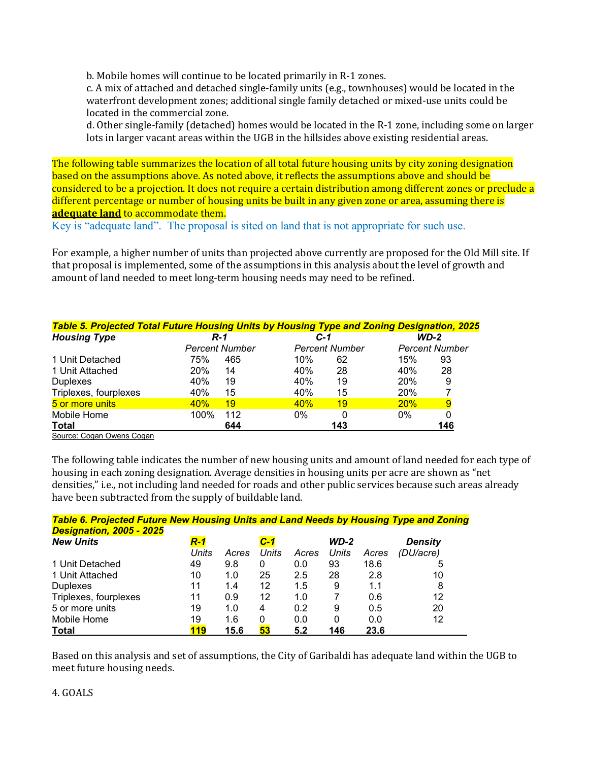b. Mobile homes will continue to be located primarily in R-1 zones.

c. A mix of attached and detached single-family units (e.g., townhouses) would be located in the waterfront development zones; additional single family detached or mixed-use units could be located in the commercial zone.

d. Other single-family (detached) homes would be located in the R-1 zone, including some on larger lots in larger vacant areas within the UGB in the hillsides above existing residential areas.

The following table summarizes the location of all total future housing units by city zoning designation based on the assumptions above. As noted above, it reflects the assumptions above and should be considered to be a projection. It does not require a certain distribution among different zones or preclude a different percentage or number of housing units be built in any given zone or area, assuming there is **adequate land** to accommodate them.

Key is "adequate land". The proposal is sited on land that is not appropriate for such use.

For example, a higher number of units than projected above currently are proposed for the Old Mill site. If that proposal is implemented, some of the assumptions in this analysis about the level of growth and amount of land needed to meet long-term housing needs may need to be refined.

| Table 5. Projected Total Future Housing Units by Housing Type and Zoning Designation, 2025 |      |                       |       |                       |       |                       |  |
|--------------------------------------------------------------------------------------------|------|-----------------------|-------|-----------------------|-------|-----------------------|--|
| <b>Housing Type</b>                                                                        |      | <b>R-1</b>            |       | C-1                   |       | <b>WD-2</b>           |  |
|                                                                                            |      | <b>Percent Number</b> |       | <b>Percent Number</b> |       | <b>Percent Number</b> |  |
| 1 Unit Detached                                                                            | 75%  | 465                   | 10%   | 62                    | 15%   | 93                    |  |
| 1 Unit Attached                                                                            | 20%  | 14                    | 40%   | 28                    | 40%   | 28                    |  |
| <b>Duplexes</b>                                                                            | 40%  | 19                    | 40%   | 19                    | 20%   | 9                     |  |
| Triplexes, fourplexes                                                                      | 40%  | 15                    | 40%   | 15                    | 20%   |                       |  |
| 5 or more units                                                                            | 40%  | 19                    | 40%   | 19                    | 20%   | 9                     |  |
| Mobile Home                                                                                | 100% | 112                   | $0\%$ |                       | $0\%$ | 0                     |  |
| <b>Total</b>                                                                               |      | 644                   |       | 143                   |       | 146                   |  |
| Course: Consu Ouisia Consu                                                                 |      |                       |       |                       |       |                       |  |

Source: Cogan Owens Cogan

The following table indicates the number of new housing units and amount of land needed for each type of housing in each zoning designation. Average densities in housing units per acre are shown as "net densities," i.e., not including land needed for roads and other public services because such areas already have been subtracted from the supply of buildable land.

| <b>Table 6. Projected Future New Housing Units and Land Needs by Housing Type and Zoning</b> |            |       |       |       |        |       |                |  |
|----------------------------------------------------------------------------------------------|------------|-------|-------|-------|--------|-------|----------------|--|
| <b>Designation, 2005 - 2025</b>                                                              |            |       |       |       |        |       |                |  |
| <b>New Units</b>                                                                             | <b>R-1</b> |       | $C-1$ |       | $WD-2$ |       | <b>Density</b> |  |
|                                                                                              | Units      | Acres | Units | Acres | Units  | Acres | (DU/acre)      |  |
| 1 Unit Detached                                                                              | 49         | 9.8   | 0     | 0.0   | 93     | 18.6  | 5              |  |
| 1 Unit Attached                                                                              | 10         | 1.0   | 25    | 2.5   | 28     | 2.8   | 10             |  |
| <b>Duplexes</b>                                                                              | 11         | 1.4   | 12    | 1.5   | 9      | 1.1   | 8              |  |
| Triplexes, fourplexes                                                                        | 11         | 0.9   | 12    | 1.0   |        | 0.6   | 12             |  |
| 5 or more units                                                                              | 19         | 1.0   | 4     | 0.2   | 9      | 0.5   | 20             |  |
| Mobile Home                                                                                  | 19         | 1.6   | 0     | 0.0   | 0      | 0.0   | 12             |  |
| <b>Total</b>                                                                                 | 119        | 15.6  | 53    | 5.2   | 146    | 23.6  |                |  |

Based on this analysis and set of assumptions, the City of Garibaldi has adequate land within the UGB to meet future housing needs.

4. GOALS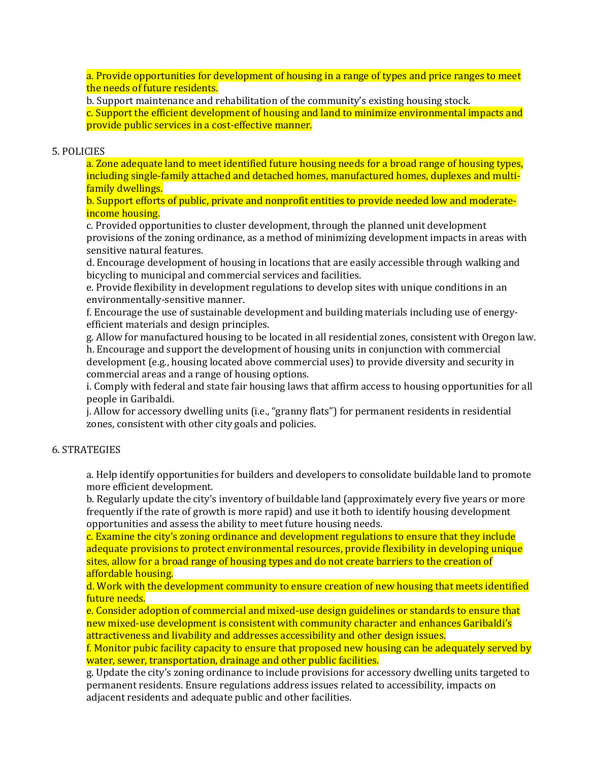a. Provide opportunities for development of housing in a range of types and price ranges to meet the needs of future residents.

b. Support maintenance and rehabilitation of the community's existing housing stock.

c. Support the efficient development of housing and land to minimize environmental impacts and provide public services in a cost-effective manner.

# 5. POLICIES

a. Zone adequate land to meet identified future housing needs for a broad range of housing types, including single-family attached and detached homes, manufactured homes, duplexes and multifamily dwellings.

b. Support efforts of public, private and nonprofit entities to provide needed low and moderateincome housing.

c. Provided opportunities to cluster development, through the planned unit development provisions of the zoning ordinance, as a method of minimizing development impacts in areas with sensitive natural features.

d. Encourage development of housing in locations that are easily accessible through walking and bicycling to municipal and commercial services and facilities.

e. Provide flexibility in development regulations to develop sites with unique conditions in an environmentally-sensitive manner.

f. Encourage the use of sustainable development and building materials including use of energyefficient materials and design principles.

g. Allow for manufactured housing to be located in all residential zones, consistent with Oregon law. h. Encourage and support the development of housing units in conjunction with commercial development (e.g., housing located above commercial uses) to provide diversity and security in commercial areas and a range of housing options.

i. Comply with federal and state fair housing laws that affirm access to housing opportunities for all people in Garibaldi.

j. Allow for accessory dwelling units (i.e., "granny flats") for permanent residents in residential zones, consistent with other city goals and policies.

# 6. STRATEGIES

a. Help identify opportunities for builders and developers to consolidate buildable land to promote more efficient development.

b. Regularly update the city's inventory of buildable land (approximately every five years or more frequently if the rate of growth is more rapid) and use it both to identify housing development opportunities and assess the ability to meet future housing needs.

c. Examine the city's zoning ordinance and development regulations to ensure that they include adequate provisions to protect environmental resources, provide flexibility in developing unique sites, allow for a broad range of housing types and do not create barriers to the creation of affordable housing.

d. Work with the development community to ensure creation of new housing that meets identified future needs.

e. Consider adoption of commercial and mixed-use design guidelines or standards to ensure that new mixed-use development is consistent with community character and enhances Garibaldi's attractiveness and livability and addresses accessibility and other design issues.

f. Monitor pubic facility capacity to ensure that proposed new housing can be adequately served by water, sewer, transportation, drainage and other public facilities.

g. Update the city's zoning ordinance to include provisions for accessory dwelling units targeted to permanent residents. Ensure regulations address issues related to accessibility, impacts on adjacent residents and adequate public and other facilities.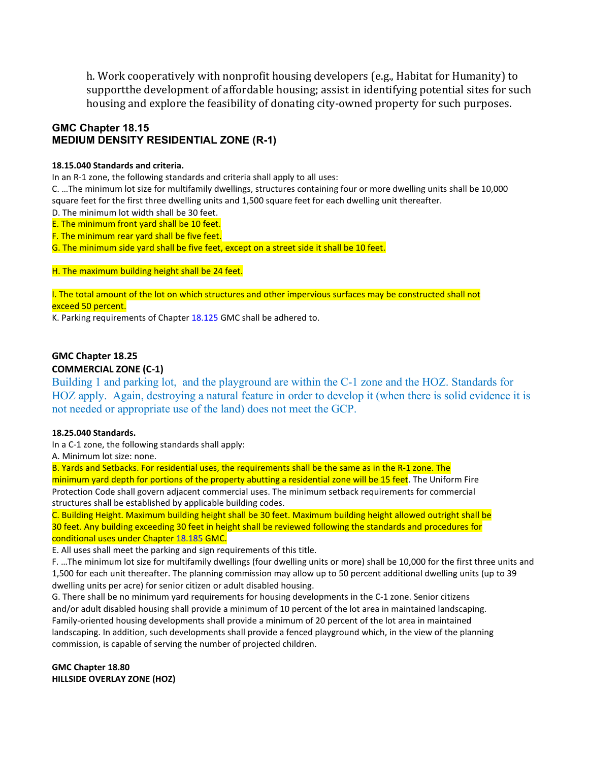h. Work cooperatively with nonprofit housing developers (e.g., Habitat for Humanity) to supportthe development of affordable housing; assist in identifying potential sites for such housing and explore the feasibility of donating city-owned property for such purposes.

# **GMC Chapter 18.15 MEDIUM DENSITY RESIDENTIAL ZONE (R-1)**

#### **18.15.040 Standards and criteria.**

In an R-1 zone, the following standards and criteria shall apply to all uses:

C. …The minimum lot size for multifamily dwellings, structures containing four or more dwelling units shall be 10,000 square feet for the first three dwelling units and 1,500 square feet for each dwelling unit thereafter.

- D. The minimum lot width shall be 30 feet.
- E. The minimum front yard shall be 10 feet.
- F. The minimum rear yard shall be five feet.

G. The minimum side yard shall be five feet, except on a street side it shall be 10 feet.

H. The maximum building height shall be 24 feet.

I. The total amount of the lot on which structures and other impervious surfaces may be constructed shall not exceed 50 percent.

K. Parking requirements of Chapter 18.125 GMC shall be adhered to.

# **GMC Chapter 18.25 COMMERCIAL ZONE (C-1)**

Building 1 and parking lot, and the playground are within the C-1 zone and the HOZ. Standards for HOZ apply. Again, destroying a natural feature in order to develop it (when there is solid evidence it is not needed or appropriate use of the land) does not meet the GCP.

# **18.25.040 Standards.**

In a C-1 zone, the following standards shall apply:

A. Minimum lot size: none.

B. Yards and Setbacks. For residential uses, the requirements shall be the same as in the R-1 zone. The minimum yard depth for portions of the property abutting a residential zone will be 15 feet. The Uniform Fire Protection Code shall govern adjacent commercial uses. The minimum setback requirements for commercial structures shall be established by applicable building codes.

C. Building Height. Maximum building height shall be 30 feet. Maximum building height allowed outright shall be 30 feet. Any building exceeding 30 feet in height shall be reviewed following the standards and procedures for conditional uses under Chapter 18.185 GMC.

E. All uses shall meet the parking and sign requirements of this title.

F. …The minimum lot size for multifamily dwellings (four dwelling units or more) shall be 10,000 for the first three units and 1,500 for each unit thereafter. The planning commission may allow up to 50 percent additional dwelling units (up to 39 dwelling units per acre) for senior citizen or adult disabled housing.

G. There shall be no minimum yard requirements for housing developments in the C-1 zone. Senior citizens and/or adult disabled housing shall provide a minimum of 10 percent of the lot area in maintained landscaping. Family-oriented housing developments shall provide a minimum of 20 percent of the lot area in maintained landscaping. In addition, such developments shall provide a fenced playground which, in the view of the planning commission, is capable of serving the number of projected children.

**GMC Chapter 18.80 HILLSIDE OVERLAY ZONE (HOZ)**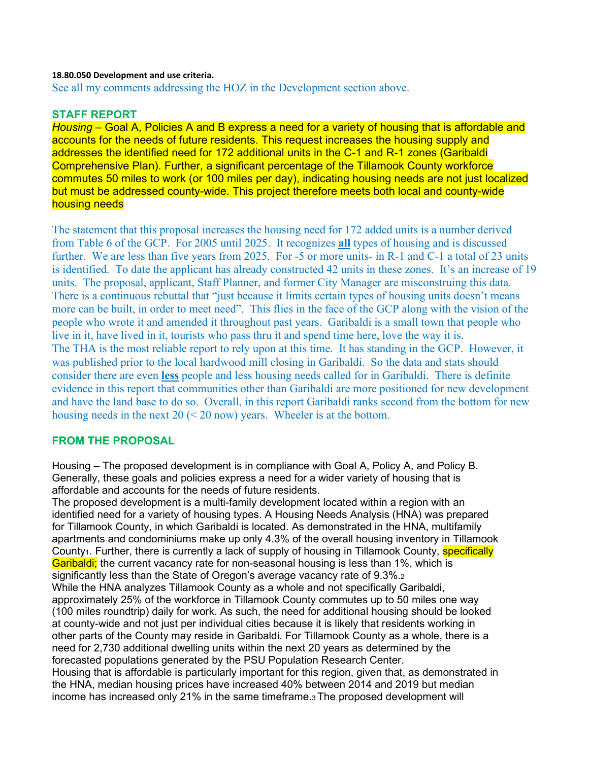# **18.80.050 Development and use criteria.**

See all my comments addressing the HOZ in the Development section above.

# **STAFF REPORT**

*Housing* – Goal A, Policies A and B express a need for a variety of housing that is affordable and accounts for the needs of future residents. This request increases the housing supply and addresses the identified need for 172 additional units in the C-1 and R-1 zones (Garibaldi Comprehensive Plan). Further, a significant percentage of the Tillamook County workforce commutes 50 miles to work (or 100 miles per day), indicating housing needs are not just localized but must be addressed county-wide. This project therefore meets both local and county-wide housing needs

The statement that this proposal increases the housing need for 172 added units is a number derived from Table 6 of the GCP. For 2005 until 2025. It recognizes **all** types of housing and is discussed further. We are less than five years from 2025. For -5 or more units- in R-1 and C-1 a total of 23 units is identified. To date the applicant has already constructed 42 units in these zones. It's an increase of 19 units. The proposal, applicant, Staff Planner, and former City Manager are misconstruing this data. There is a continuous rebuttal that "just because it limits certain types of housing units doesn't means more can be built, in order to meet need". This flies in the face of the GCP along with the vision of the people who wrote it and amended it throughout past years. Garibaldi is a small town that people who live in it, have lived in it, tourists who pass thru it and spend time here, love the way it is. The THA is the most reliable report to rely upon at this time. It has standing in the GCP. However, it was published prior to the local hardwood mill closing in Garibaldi. So the data and stats should consider there are even **less** people and less housing needs called for in Garibaldi. There is definite evidence in this report that communities other than Garibaldi are more positioned for new development and have the land base to do so. Overall, in this report Garibaldi ranks second from the bottom for new housing needs in the next  $20 \le 20$  now) years. Wheeler is at the bottom.

# **FROM THE PROPOSAL**

Housing – The proposed development is in compliance with Goal A, Policy A, and Policy B. Generally, these goals and policies express a need for a wider variety of housing that is affordable and accounts for the needs of future residents.

The proposed development is a multi-family development located within a region with an identified need for a variety of housing types. A Housing Needs Analysis (HNA) was prepared for Tillamook County, in which Garibaldi is located. As demonstrated in the HNA, multifamily apartments and condominiums make up only 4.3% of the overall housing inventory in Tillamook County<sub>1</sub>. Further, there is currently a lack of supply of housing in Tillamook County, **specifically** Garibaldi; the current vacancy rate for non-seasonal housing is less than 1%, which is significantly less than the State of Oregon's average vacancy rate of 9.3%.2 While the HNA analyzes Tillamook County as a whole and not specifically Garibaldi, approximately 25% of the workforce in Tillamook County commutes up to 50 miles one way (100 miles roundtrip) daily for work. As such, the need for additional housing should be looked at county-wide and not just per individual cities because it is likely that residents working in other parts of the County may reside in Garibaldi. For Tillamook County as a whole, there is a need for 2,730 additional dwelling units within the next 20 years as determined by the forecasted populations generated by the PSU Population Research Center. Housing that is affordable is particularly important for this region, given that, as demonstrated in the HNA, median housing prices have increased 40% between 2014 and 2019 but median income has increased only 21% in the same timeframe.3 The proposed development will